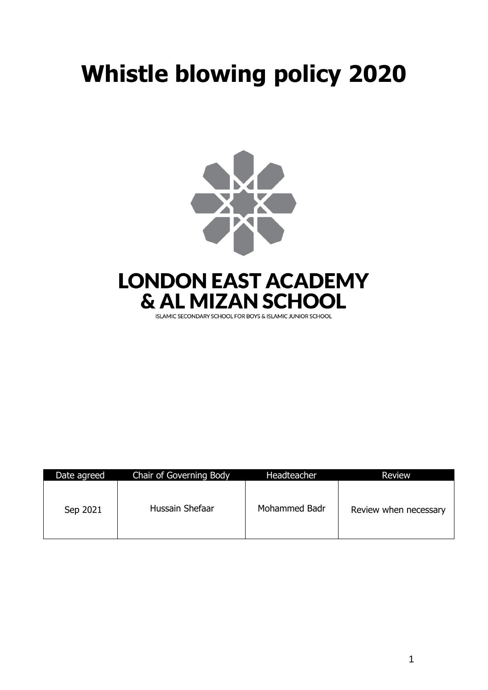# **Whistle blowing policy 2020**



| ISLAMIC SECONDARY SCHOOL FOR BOYS & ISLAMIC JUNIOR SCHOOL |
|-----------------------------------------------------------|
|                                                           |

| Date agreed | Chair of Governing Body | Headteacher   | <b>Review</b>         |
|-------------|-------------------------|---------------|-----------------------|
| Sep 2021    | Hussain Shefaar         | Mohammed Badr | Review when necessary |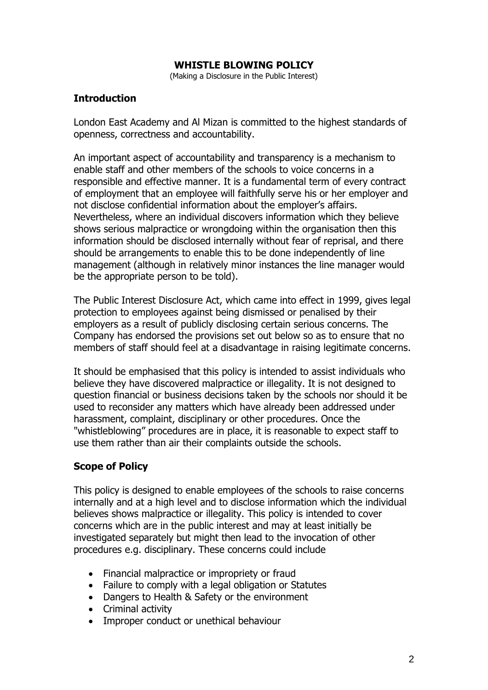#### **WHISTLE BLOWING POLICY**

(Making a Disclosure in the Public Interest)

## **Introduction**

London East Academy and Al Mizan is committed to the highest standards of openness, correctness and accountability.

An important aspect of accountability and transparency is a mechanism to enable staff and other members of the schools to voice concerns in a responsible and effective manner. It is a fundamental term of every contract of employment that an employee will faithfully serve his or her employer and not disclose confidential information about the employer's affairs. Nevertheless, where an individual discovers information which they believe shows serious malpractice or wrongdoing within the organisation then this information should be disclosed internally without fear of reprisal, and there should be arrangements to enable this to be done independently of line management (although in relatively minor instances the line manager would be the appropriate person to be told).

The Public Interest Disclosure Act, which came into effect in 1999, gives legal protection to employees against being dismissed or penalised by their employers as a result of publicly disclosing certain serious concerns. The Company has endorsed the provisions set out below so as to ensure that no members of staff should feel at a disadvantage in raising legitimate concerns.

It should be emphasised that this policy is intended to assist individuals who believe they have discovered malpractice or illegality. It is not designed to question financial or business decisions taken by the schools nor should it be used to reconsider any matters which have already been addressed under harassment, complaint, disciplinary or other procedures. Once the "whistleblowing" procedures are in place, it is reasonable to expect staff to use them rather than air their complaints outside the schools.

## **Scope of Policy**

This policy is designed to enable employees of the schools to raise concerns internally and at a high level and to disclose information which the individual believes shows malpractice or illegality. This policy is intended to cover concerns which are in the public interest and may at least initially be investigated separately but might then lead to the invocation of other procedures e.g. disciplinary. These concerns could include

- Financial malpractice or impropriety or fraud
- Failure to comply with a legal obligation or Statutes
- Dangers to Health & Safety or the environment
- Criminal activity
- Improper conduct or unethical behaviour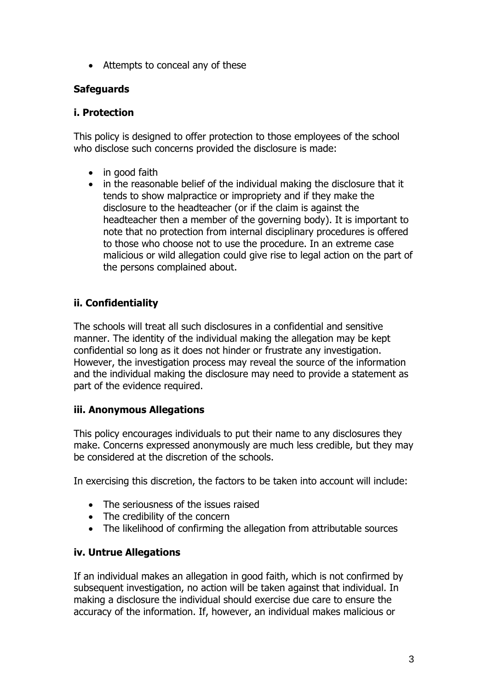• Attempts to conceal any of these

# **Safeguards**

# **i. Protection**

This policy is designed to offer protection to those employees of the school who disclose such concerns provided the disclosure is made:

- in good faith
- in the reasonable belief of the individual making the disclosure that it tends to show malpractice or impropriety and if they make the disclosure to the headteacher (or if the claim is against the headteacher then a member of the governing body). It is important to note that no protection from internal disciplinary procedures is offered to those who choose not to use the procedure. In an extreme case malicious or wild allegation could give rise to legal action on the part of the persons complained about.

# **ii. Confidentiality**

The schools will treat all such disclosures in a confidential and sensitive manner. The identity of the individual making the allegation may be kept confidential so long as it does not hinder or frustrate any investigation. However, the investigation process may reveal the source of the information and the individual making the disclosure may need to provide a statement as part of the evidence required.

# **iii. Anonymous Allegations**

This policy encourages individuals to put their name to any disclosures they make. Concerns expressed anonymously are much less credible, but they may be considered at the discretion of the schools.

In exercising this discretion, the factors to be taken into account will include:

- The seriousness of the issues raised
- The credibility of the concern
- The likelihood of confirming the allegation from attributable sources

# **iv. Untrue Allegations**

If an individual makes an allegation in good faith, which is not confirmed by subsequent investigation, no action will be taken against that individual. In making a disclosure the individual should exercise due care to ensure the accuracy of the information. If, however, an individual makes malicious or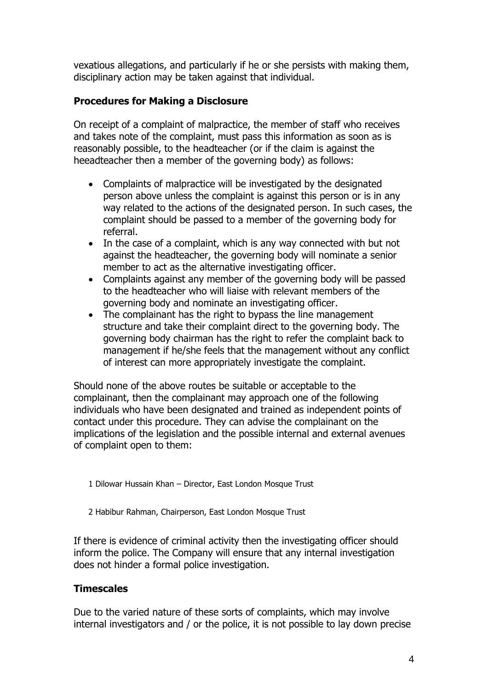vexatious allegations, and particularly if he or she persists with making them, disciplinary action may be taken against that individual.

## **Procedures for Making a Disclosure**

On receipt of a complaint of malpractice, the member of staff who receives and takes note of the complaint, must pass this information as soon as is reasonably possible, to the headteacher (or if the claim is against the heeadteacher then a member of the governing body) as follows:

- Complaints of malpractice will be investigated by the designated person above unless the complaint is against this person or is in any way related to the actions of the designated person. In such cases, the complaint should be passed to a member of the governing body for referral.
- In the case of a complaint, which is any way connected with but not against the headteacher, the governing body will nominate a senior member to act as the alternative investigating officer.
- Complaints against any member of the governing body will be passed to the headteacher who will liaise with relevant members of the governing body and nominate an investigating officer.
- The complainant has the right to bypass the line management structure and take their complaint direct to the governing body. The governing body chairman has the right to refer the complaint back to management if he/she feels that the management without any conflict of interest can more appropriately investigate the complaint.

Should none of the above routes be suitable or acceptable to the complainant, then the complainant may approach one of the following individuals who have been designated and trained as independent points of contact under this procedure. They can advise the complainant on the implications of the legislation and the possible internal and external avenues of complaint open to them:

- 1 Dilowar Hussain Khan Director, East London Mosque Trust
- 2 Habibur Rahman, Chairperson, East London Mosque Trust

If there is evidence of criminal activity then the investigating officer should inform the police. The Company will ensure that any internal investigation does not hinder a formal police investigation.

## **Timescales**

Due to the varied nature of these sorts of complaints, which may involve internal investigators and / or the police, it is not possible to lay down precise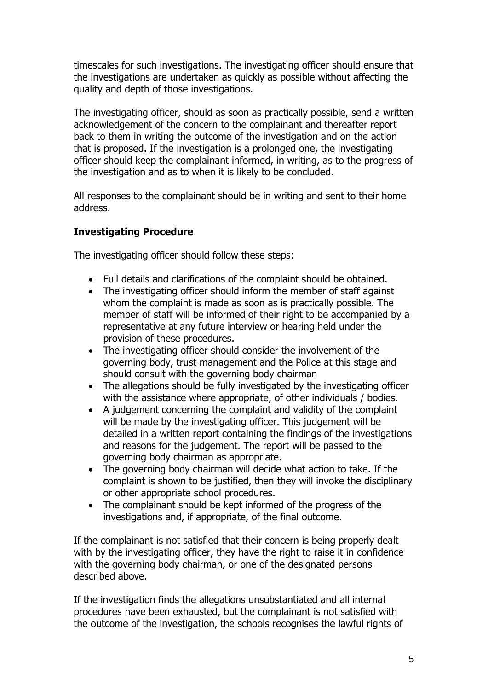timescales for such investigations. The investigating officer should ensure that the investigations are undertaken as quickly as possible without affecting the quality and depth of those investigations.

The investigating officer, should as soon as practically possible, send a written acknowledgement of the concern to the complainant and thereafter report back to them in writing the outcome of the investigation and on the action that is proposed. If the investigation is a prolonged one, the investigating officer should keep the complainant informed, in writing, as to the progress of the investigation and as to when it is likely to be concluded.

All responses to the complainant should be in writing and sent to their home address.

# **Investigating Procedure**

The investigating officer should follow these steps:

- Full details and clarifications of the complaint should be obtained.
- The investigating officer should inform the member of staff against whom the complaint is made as soon as is practically possible. The member of staff will be informed of their right to be accompanied by a representative at any future interview or hearing held under the provision of these procedures.
- The investigating officer should consider the involvement of the governing body, trust management and the Police at this stage and should consult with the governing body chairman
- The allegations should be fully investigated by the investigating officer with the assistance where appropriate, of other individuals / bodies.
- A judgement concerning the complaint and validity of the complaint will be made by the investigating officer. This judgement will be detailed in a written report containing the findings of the investigations and reasons for the judgement. The report will be passed to the governing body chairman as appropriate.
- The governing body chairman will decide what action to take. If the complaint is shown to be justified, then they will invoke the disciplinary or other appropriate school procedures.
- The complainant should be kept informed of the progress of the investigations and, if appropriate, of the final outcome.

If the complainant is not satisfied that their concern is being properly dealt with by the investigating officer, they have the right to raise it in confidence with the governing body chairman, or one of the designated persons described above.

If the investigation finds the allegations unsubstantiated and all internal procedures have been exhausted, but the complainant is not satisfied with the outcome of the investigation, the schools recognises the lawful rights of